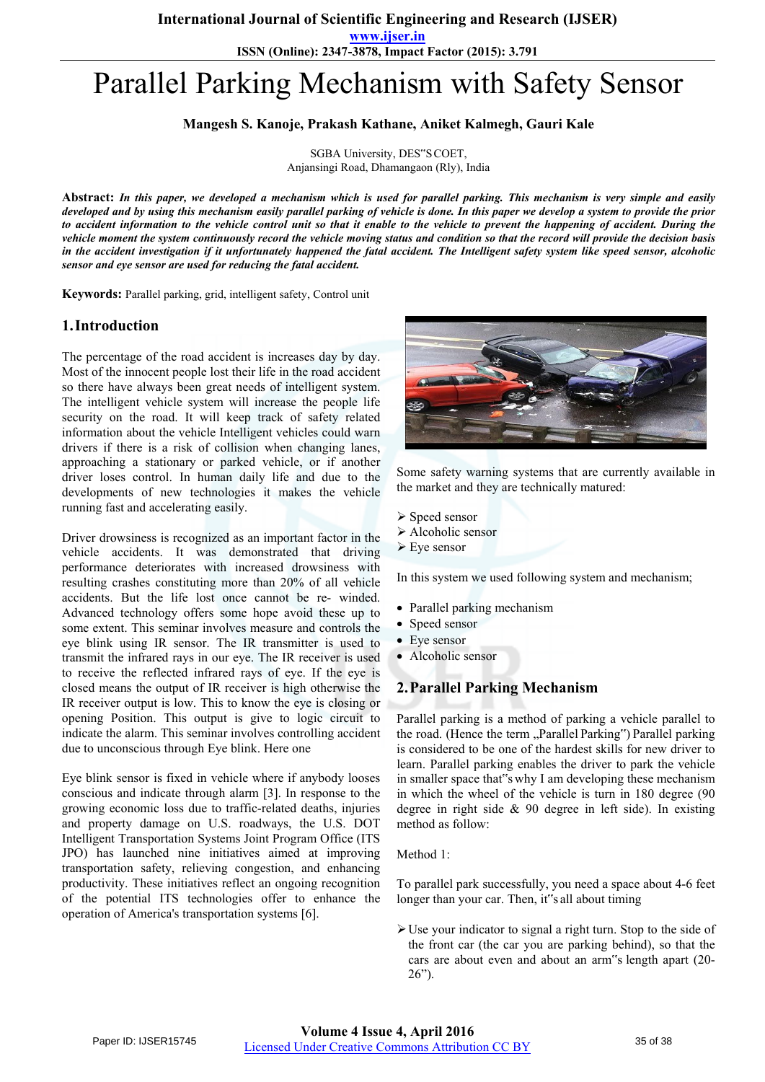**www.ijser.in**

**ISSN (Online): 2347-3878, Impact Factor (2015): 3.791**

# Parallel Parking Mechanism with Safety Sensor

**Mangesh S. Kanoje, Prakash Kathane, Aniket Kalmegh, Gauri Kale** 

SGBA University, DES"S COET, Anjansingi Road, Dhamangaon (Rly), India

**Abstract:** *In this paper, we developed a mechanism which is used for parallel parking. This mechanism is very simple and easily developed and by using this mechanism easily parallel parking of vehicle is done. In this paper we develop a system to provide the prior to accident information to the vehicle control unit so that it enable to the vehicle to prevent the happening of accident. During the vehicle moment the system continuously record the vehicle moving status and condition so that the record will provide the decision basis in the accident investigation if it unfortunately happened the fatal accident. The Intelligent safety system like speed sensor, alcoholic sensor and eye sensor are used for reducing the fatal accident.*

**Keywords:** Parallel parking, grid, intelligent safety, Control unit

### **1.Introduction**

The percentage of the road accident is increases day by day. Most of the innocent people lost their life in the road accident so there have always been great needs of intelligent system. The intelligent vehicle system will increase the people life security on the road. It will keep track of safety related information about the vehicle Intelligent vehicles could warn drivers if there is a risk of collision when changing lanes, approaching a stationary or parked vehicle, or if another driver loses control. In human daily life and due to the developments of new technologies it makes the vehicle running fast and accelerating easily.

Driver drowsiness is recognized as an important factor in the vehicle accidents. It was demonstrated that driving performance deteriorates with increased drowsiness with resulting crashes constituting more than 20% of all vehicle accidents. But the life lost once cannot be re- winded. Advanced technology offers some hope avoid these up to some extent. This seminar involves measure and controls the eye blink using IR sensor. The IR transmitter is used to transmit the infrared rays in our eye. The IR receiver is used to receive the reflected infrared rays of eye. If the eye is closed means the output of IR receiver is high otherwise the IR receiver output is low. This to know the eye is closing or opening Position. This output is give to logic circuit to indicate the alarm. This seminar involves controlling accident due to unconscious through Eye blink. Here one

Eye blink sensor is fixed in vehicle where if anybody looses conscious and indicate through alarm [3]. In response to the growing economic loss due to traffic-related deaths, injuries and property damage on U.S. roadways, the U.S. DOT Intelligent Transportation Systems Joint Program Office (ITS JPO) has launched nine initiatives aimed at improving transportation safety, relieving congestion, and enhancing productivity. These initiatives reflect an ongoing recognition of the potential ITS technologies offer to enhance the operation of America's transportation systems [6].



Some safety warning systems that are currently available in the market and they are technically matured:

- Speed sensor
- Alcoholic sensor
- Eye sensor

In this system we used following system and mechanism;

- Parallel parking mechanism
- Speed sensor
- Eye sensor
- Alcoholic sensor

## **2.Parallel Parking Mechanism**

Parallel parking is a method of parking a vehicle parallel to the road. (Hence the term "Parallel Parking") Parallel parking is considered to be one of the hardest skills for new driver to learn. Parallel parking enables the driver to park the vehicle in smaller space that"swhy I am developing these mechanism in which the wheel of the vehicle is turn in 180 degree (90 degree in right side & 90 degree in left side). In existing method as follow:

Method 1:

To parallel park successfully, you need a space about 4-6 feet longer than your car. Then, it"s all about timing

Use your indicator to signal a right turn. Stop to the side of the front car (the car you are parking behind), so that the cars are about even and about an arm"s length apart (20- 26").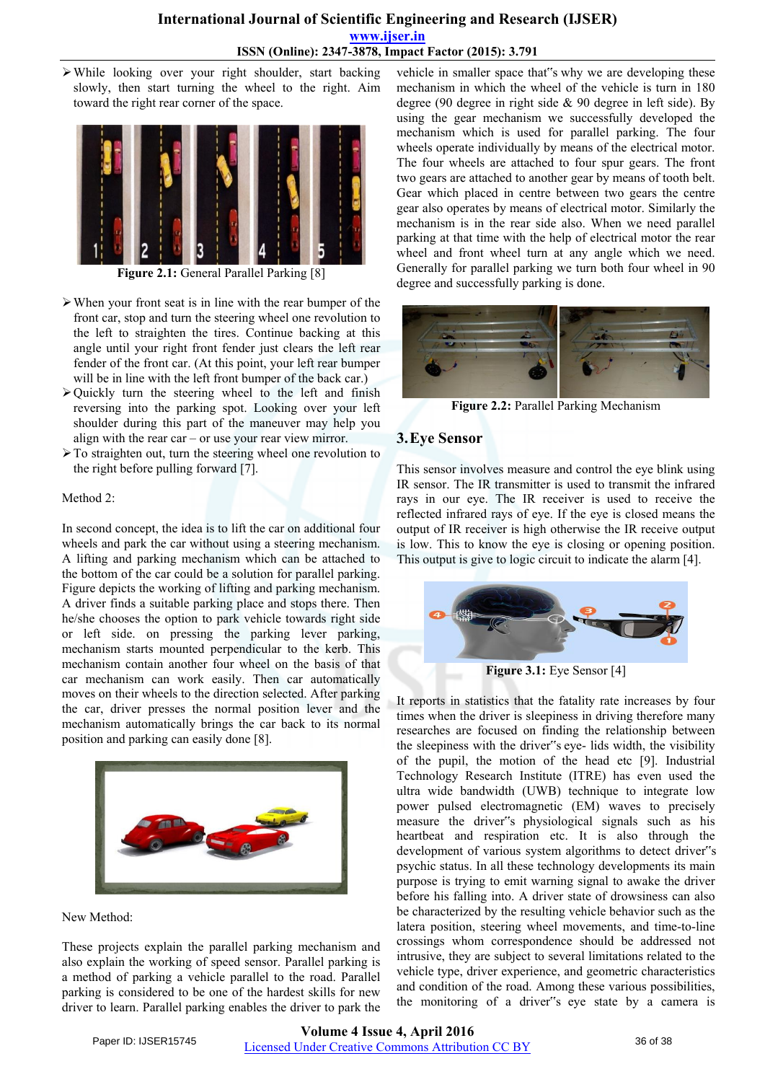# **International Journal of Scientific Engineering and Research (IJSER) www.ijser.in ISSN (Online): 2347-3878, Impact Factor (2015): 3.791**

While looking over your right shoulder, start backing slowly, then start turning the wheel to the right. Aim toward the right rear corner of the space.



**Figure 2.1:** General Parallel Parking [8]

- $\triangleright$  When your front seat is in line with the rear bumper of the front car, stop and turn the steering wheel one revolution to the left to straighten the tires. Continue backing at this angle until your right front fender just clears the left rear fender of the front car. (At this point, your left rear bumper will be in line with the left front bumper of the back car.)
- $\geq$  Quickly turn the steering wheel to the left and finish reversing into the parking spot. Looking over your left shoulder during this part of the maneuver may help you align with the rear car – or use your rear view mirror.
- $\triangleright$  To straighten out, turn the steering wheel one revolution to the right before pulling forward [7].

#### Method 2:

In second concept, the idea is to lift the car on additional four wheels and park the car without using a steering mechanism. A lifting and parking mechanism which can be attached to the bottom of the car could be a solution for parallel parking. Figure depicts the working of lifting and parking mechanism. A driver finds a suitable parking place and stops there. Then he/she chooses the option to park vehicle towards right side or left side. on pressing the parking lever parking, mechanism starts mounted perpendicular to the kerb. This mechanism contain another four wheel on the basis of that car mechanism can work easily. Then car automatically moves on their wheels to the direction selected. After parking the car, driver presses the normal position lever and the mechanism automatically brings the car back to its normal position and parking can easily done [8].



New Method:

These projects explain the parallel parking mechanism and also explain the working of speed sensor. Parallel parking is a method of parking a vehicle parallel to the road. Parallel parking is considered to be one of the hardest skills for new driver to learn. Parallel parking enables the driver to park the

vehicle in smaller space that"s why we are developing these mechanism in which the wheel of the vehicle is turn in 180 degree (90 degree in right side & 90 degree in left side). By using the gear mechanism we successfully developed the mechanism which is used for parallel parking. The four wheels operate individually by means of the electrical motor. The four wheels are attached to four spur gears. The front two gears are attached to another gear by means of tooth belt. Gear which placed in centre between two gears the centre gear also operates by means of electrical motor. Similarly the mechanism is in the rear side also. When we need parallel parking at that time with the help of electrical motor the rear wheel and front wheel turn at any angle which we need. Generally for parallel parking we turn both four wheel in 90 degree and successfully parking is done.



**Figure 2.2:** Parallel Parking Mechanism

# **3.Eye Sensor**

This sensor involves measure and control the eye blink using IR sensor. The IR transmitter is used to transmit the infrared rays in our eye. The IR receiver is used to receive the reflected infrared rays of eye. If the eye is closed means the output of IR receiver is high otherwise the IR receive output is low. This to know the eye is closing or opening position. This output is give to logic circuit to indicate the alarm [4].



**Figure 3.1:** Eye Sensor [4]

It reports in statistics that the fatality rate increases by four times when the driver is sleepiness in driving therefore many researches are focused on finding the relationship between the sleepiness with the driver"s eye- lids width, the visibility of the pupil, the motion of the head etc [9]. Industrial Technology Research Institute (ITRE) has even used the ultra wide bandwidth (UWB) technique to integrate low power pulsed electromagnetic (EM) waves to precisely measure the driver"s physiological signals such as his heartbeat and respiration etc. It is also through the development of various system algorithms to detect driver"s psychic status. In all these technology developments its main purpose is trying to emit warning signal to awake the driver before his falling into. A driver state of drowsiness can also be characterized by the resulting vehicle behavior such as the latera position, steering wheel movements, and time-to-line crossings whom correspondence should be addressed not intrusive, they are subject to several limitations related to the vehicle type, driver experience, and geometric characteristics and condition of the road. Among these various possibilities, the monitoring of a driver"s eye state by a camera is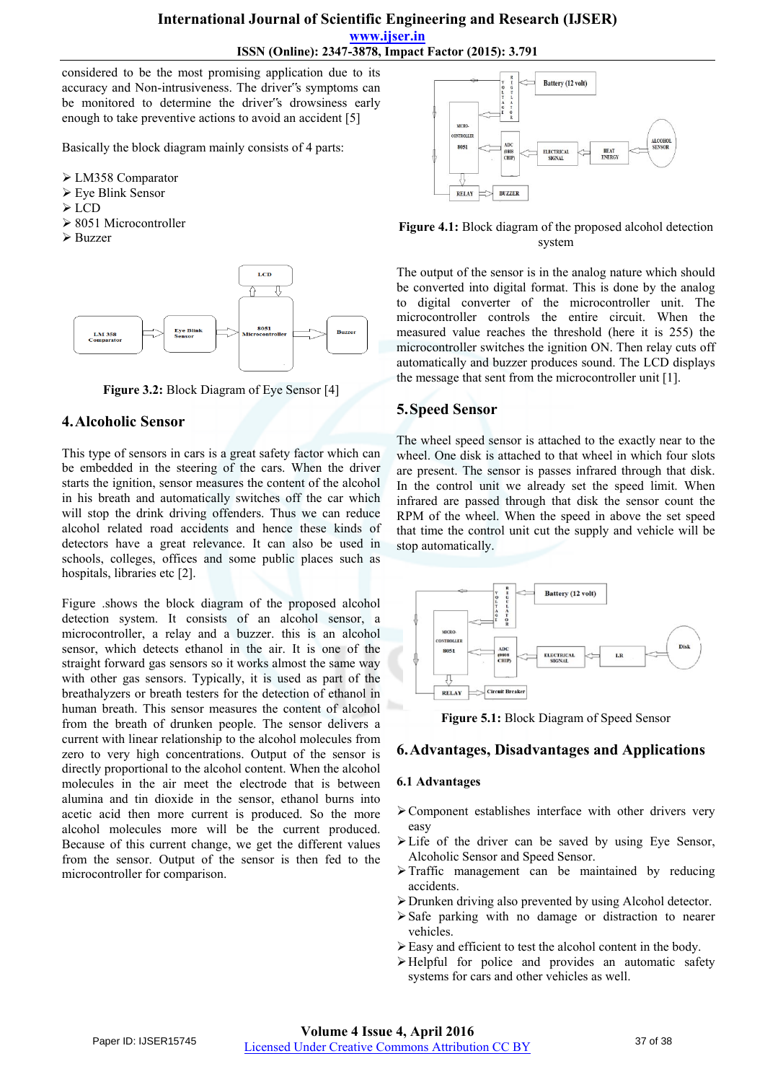## **International Journal of Scientific Engineering and Research (IJSER) www.ijser.in ISSN (Online): 2347-3878, Impact Factor (2015): 3.791**

considered to be the most promising application due to its accuracy and Non-intrusiveness. The driver"s symptoms can be monitored to determine the driver"s drowsiness early enough to take preventive actions to avoid an accident [5]

Basically the block diagram mainly consists of 4 parts:

- LM358 Comparator
- Eye Blink Sensor
- $\triangleright$  LCD
- $\geq 8051$  Microcontroller
- Buzzer



**Figure 3.2:** Block Diagram of Eye Sensor [4]

# **4.Alcoholic Sensor**

This type of sensors in cars is a great safety factor which can be embedded in the steering of the cars. When the driver starts the ignition, sensor measures the content of the alcohol in his breath and automatically switches off the car which will stop the drink driving offenders. Thus we can reduce alcohol related road accidents and hence these kinds of detectors have a great relevance. It can also be used in schools, colleges, offices and some public places such as hospitals, libraries etc [2].

Figure .shows the block diagram of the proposed alcohol detection system. It consists of an alcohol sensor, a microcontroller, a relay and a buzzer. this is an alcohol sensor, which detects ethanol in the air. It is one of the straight forward gas sensors so it works almost the same way with other gas sensors. Typically, it is used as part of the breathalyzers or breath testers for the detection of ethanol in human breath. This sensor measures the content of alcohol from the breath of drunken people. The sensor delivers a current with linear relationship to the alcohol molecules from zero to very high concentrations. Output of the sensor is directly proportional to the alcohol content. When the alcohol molecules in the air meet the electrode that is between alumina and tin dioxide in the sensor, ethanol burns into acetic acid then more current is produced. So the more alcohol molecules more will be the current produced. Because of this current change, we get the different values from the sensor. Output of the sensor is then fed to the microcontroller for comparison.



#### **Figure 4.1:** Block diagram of the proposed alcohol detection system

The output of the sensor is in the analog nature which should be converted into digital format. This is done by the analog to digital converter of the microcontroller unit. The microcontroller controls the entire circuit. When the measured value reaches the threshold (here it is 255) the microcontroller switches the ignition ON. Then relay cuts off automatically and buzzer produces sound. The LCD displays the message that sent from the microcontroller unit [1].

# **5.Speed Sensor**

The wheel speed sensor is attached to the exactly near to the wheel. One disk is attached to that wheel in which four slots are present. The sensor is passes infrared through that disk. In the control unit we already set the speed limit. When infrared are passed through that disk the sensor count the RPM of the wheel. When the speed in above the set speed that time the control unit cut the supply and vehicle will be stop automatically.



**Figure 5.1:** Block Diagram of Speed Sensor

## **6.Advantages, Disadvantages and Applications**

#### **6.1 Advantages**

- $\triangleright$  Component establishes interface with other drivers very easy
- Life of the driver can be saved by using Eye Sensor, Alcoholic Sensor and Speed Sensor.
- > Traffic management can be maintained by reducing accidents.
- Drunken driving also prevented by using Alcohol detector.
- $\triangleright$  Safe parking with no damage or distraction to nearer vehicles.
- Easy and efficient to test the alcohol content in the body.
- Helpful for police and provides an automatic safety systems for cars and other vehicles as well.